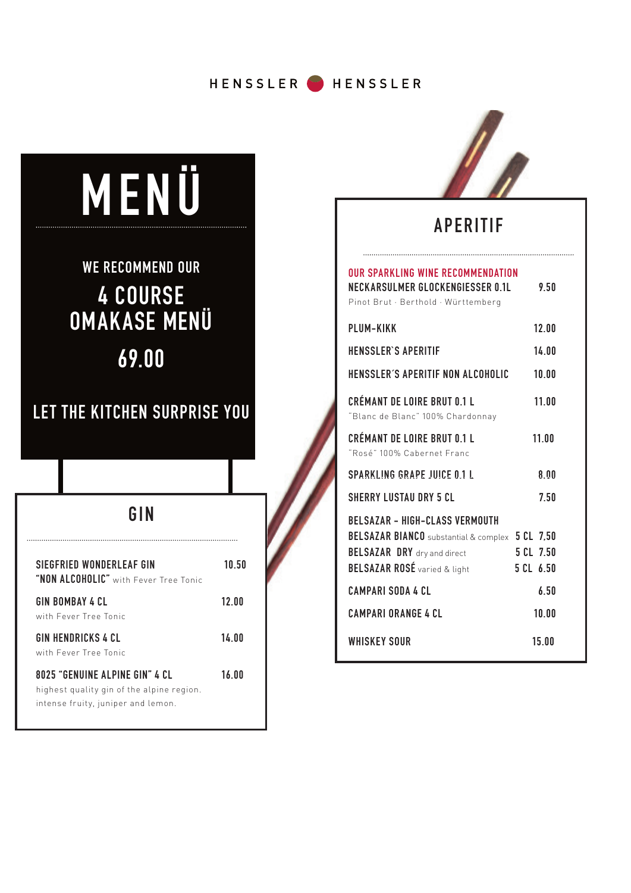HENSSLER HENSSLER

# **MENÜ WE RECOMMEND OUR 4 COURSE OMAKASE MENÜ 69.00 LET THE KITCHEN SURPRISE YOU GINSIEGFRIED WONDERLEAF GIN** 10.50 **"NON ALCOHOLIC"** with Fever Tree Tonic **GIN BOMBAY 4 CL 12.00** with Fever Tree Tonic **GIN HENDRICKS 4 CL 14.00** with Fever Tree Tonic

**8025 "GENUINE ALPINE GIN" 4 CL 16.00** highest quality gin of the alpine region. intense fruity, juniper and lemon.



## **APERITIF**

#### **OUR SPARKLING WINE RECOMMENDATION NECK ARSULMER GLOCKENGIESSER 0.1L 9.50**

| NLCRARJOLMER OLOCRENOILJJER O.IL<br>Pinot Brut · Berthold · Württemberg                                                                                                                                                                                | 7.JU                                             |
|--------------------------------------------------------------------------------------------------------------------------------------------------------------------------------------------------------------------------------------------------------|--------------------------------------------------|
| <b>PLUM-KIKK</b>                                                                                                                                                                                                                                       | 12.00                                            |
| <b>HENSSLER'S APERITIF</b>                                                                                                                                                                                                                             | 14.00                                            |
| HENSSLER'S APERITIF NON ALCOHOLIC                                                                                                                                                                                                                      | 10.00                                            |
| <b>CRÉMANT DE LOIRE BRUT 0.1 L</b><br>"Blanc de Blanc" 100% Chardonnay                                                                                                                                                                                 | 11.00                                            |
| CRÉMANT DE LOIRE BRUT 0.1 L<br>"Rosé" 100% Cabernet Franc                                                                                                                                                                                              | 11.00                                            |
| <b>SPARKLING GRAPE JUICE 0.1 L</b>                                                                                                                                                                                                                     | 8.00                                             |
| <b>SHERRY LUSTAU DRY 5 CL</b>                                                                                                                                                                                                                          | 7.50                                             |
| <b>BELSAZAR - HIGH-CLASS VERMOUTH</b><br>BELSAZAR BIANCO substantial & complex 5 CL 7,50<br><b>BELSAZAR DRY</b> dry and direct<br><b>BELSAZAR ROSÉ</b> varied & light<br><b>CAMPARI SODA 4 CL</b><br><b>CAMPARI ORANGE 4 CL</b><br><b>WHISKEY SOUR</b> | 5 CL 7.50<br>5 CL 6.50<br>6.50<br>10.00<br>15.00 |
|                                                                                                                                                                                                                                                        |                                                  |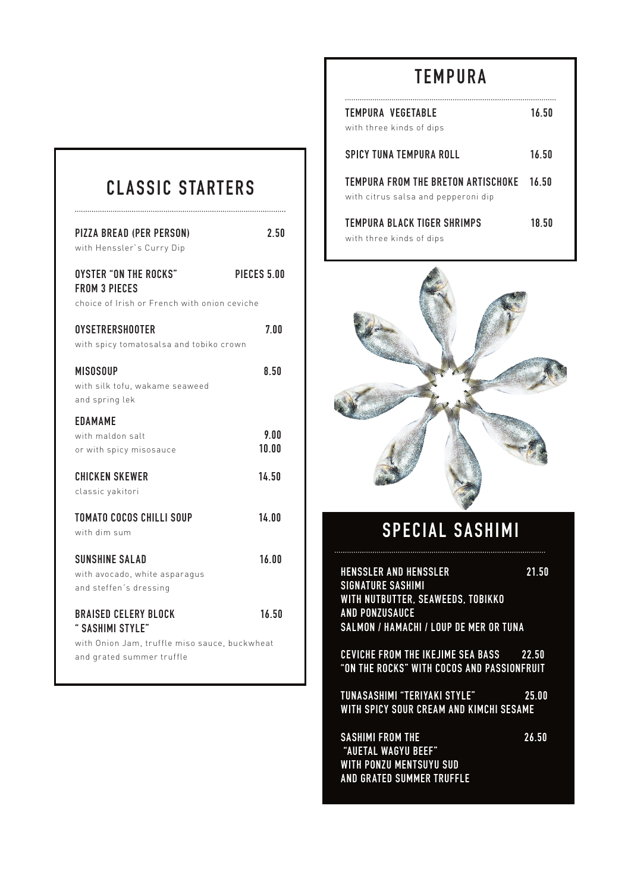# **TEMPURA**

# **CLASSIC STARTERS**

| <b>PIZZA BREAD (PER PERSON)</b><br>with Henssler's Curry Dip                                         | 2.50          |
|------------------------------------------------------------------------------------------------------|---------------|
| <b>OYSTER "ON THE ROCKS"</b><br><b>FROM 3 PIECES</b><br>choice of Irish or French with onion ceviche | PIECES 5.00   |
| <b>OYSETRERSHOOTER</b><br>with spicy tomatosalsa and tobiko crown                                    | 7.00          |
| <b>MISOSOUP</b><br>with silk tofu, wakame seaweed<br>and spring lek                                  | 8.50          |
| <b>EDAMAME</b><br>with maldon salt<br>or with spicy misosauce                                        | 9.00<br>10.00 |
| <b>CHICKEN SKEWER</b><br>classic yakitori                                                            | 14.50         |
| <b>TOMATO COCOS CHILLI SOUP</b><br>with dim sum                                                      | 14.00         |
| <b>SUNSHINE SALAD</b><br>with avocado, white asparagus<br>and steffen's dressing                     | 16.00         |
| <b>BRAISED CELERY BLOCK</b><br>" SASHIMI STYLE"                                                      | 16.50         |
| with Onion Jam, truffle miso sauce, buckwheat<br>and grated summer truffle                           |               |

| TEMPURA VEGETABLE<br>with three kinds of dips                             | 16.50 |
|---------------------------------------------------------------------------|-------|
| SPICY TUNA TEMPURA ROLL                                                   | 16.50 |
| TEMPURA FROM THE BRETON ARTISCHOKE<br>with citrus salsa and pepperoni dip | 16 50 |
| TEMPURA BLACK TIGER SHRIMPS<br>with three kinds of dips                   | 18.50 |



# **SPECIAL SASHIMI**

**HENSSLER AND HENSSLER 21.50 SIGNATURE SASHIMI**  WITH NUTBUTTER, SEAWEEDS, TOBIKKO **AND PONZUSAUCE SALMON / HAMACHI / LOUP DE MER OR TUNA CEVICHE FROM THE IKE JIME SEA BASS 22.50 "ON THE ROCKS" WITH COCOS AND PASSIONFRUIT TUNASASHIMI "TERIYAKI STYLE" 25.00 WITH SPICY SOUR CREAM AND KIMCHI SESAME SASHIMI FROM THE 26.50 "AUETAL WAGYU BEEF" WITH PONZU MENTSUYU SUD AND GRATED SUMMER TRUFFLE**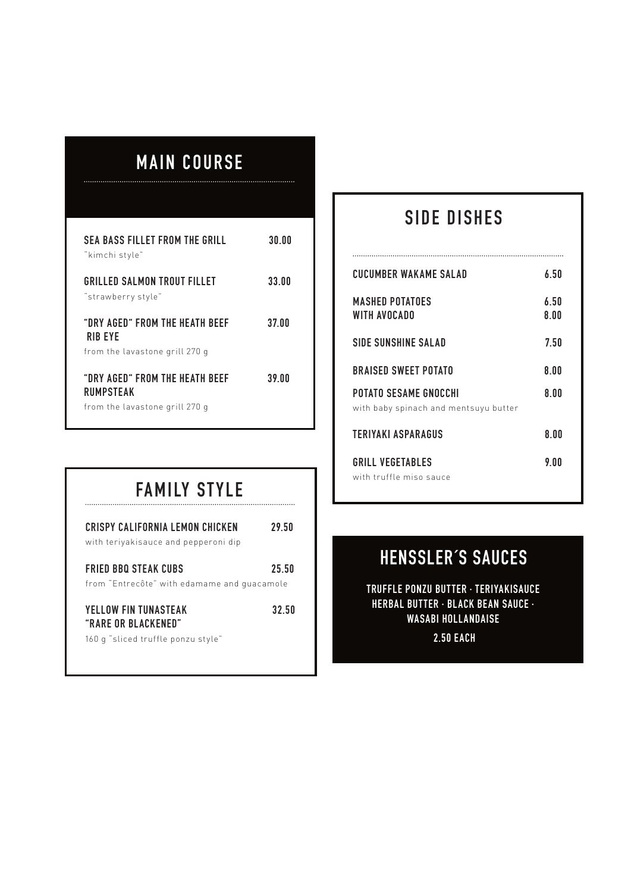# **MAIN COURSE**

...................

| SEA BASS FILLET FROM THE GRILL<br>"kimchi style"                                     | 30.00 |
|--------------------------------------------------------------------------------------|-------|
| GRILLED SALMON TROUT FILLET<br>"strawberry style"                                    | 33.00 |
| "DRY AGED" FROM THE HEATH BEEF<br><b>RIB FYF</b>                                     | 37.00 |
| from the lavastone grill 270 g<br>"DRY AGFD" FROM THF HFATH BFFF<br><b>RUMPSTFAK</b> | 39 NO |
| from the lavastone grill 270 g                                                       |       |

# **SIDE DISHES**

| <b>CUCUMBER WAKAME SALAD</b>                                   | ሪ 50         |
|----------------------------------------------------------------|--------------|
| <b>MASHED POTATOES</b><br>WITH AVOCADO                         | 6.50<br>8.00 |
| SIDE SUNSHINE SALAD                                            | 750          |
| <b>BRAISED SWEET POTATO</b>                                    | 8.00         |
| POTATO SESAME GNOCCHI<br>with baby spinach and mentsuyu butter | 8.00         |
| TERIYAKI ASPARAGUS                                             | 8 NO         |
| GRILL VEGETABLES                                               | 9 N N        |

#### with truffle miso sauce

# **FAMILY STYLE**

| CRISPY CALIFORNIA LEMON CHICKEN<br>with teriyakisauce and pepperoni dip            | 29.50 |
|------------------------------------------------------------------------------------|-------|
| FRIED BBO STEAK CUBS<br>from "Entrecôte" with edamame and quacamole                | 25.50 |
| YELLOW FIN TUNASTEAK<br>"RARF OR BI ACKENED"<br>160 g "sliced truffle ponzu style" | 32.50 |

## **HENSSLER´S SAUCES**

**TRUFFLE PONZU BUTTER · TERIYAKISAUCE HERBAL BUT TER · BLACK BEAN SAUCE · WASABI HOLLANDAISE 2.50 EACH**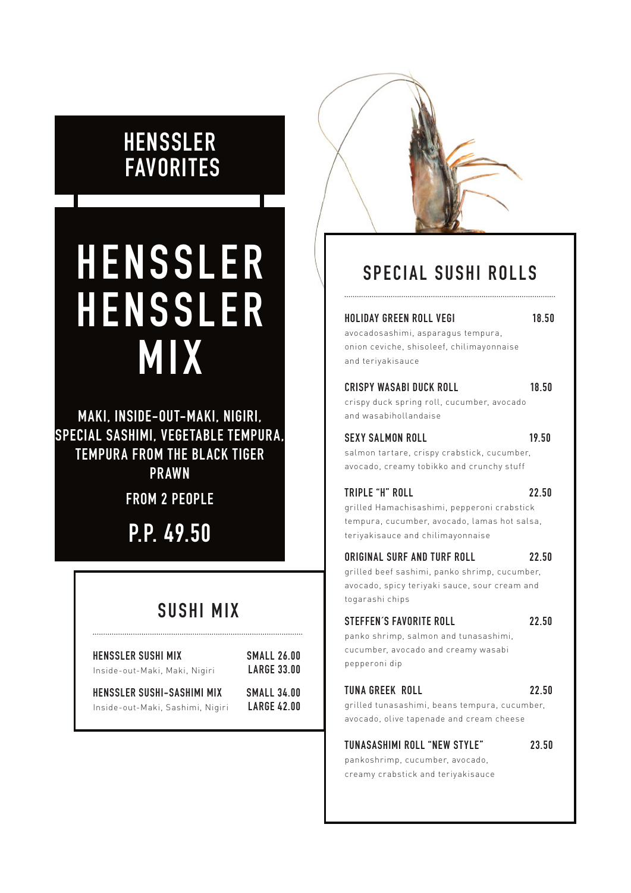# **HENSSLER FAVORITES**

# **HENSSLER SPECIAL SUSHI ROLLS H E N S S L E R MIX**

**MAKI, INSIDE-OUT-MAKI, NIGIRI, SPECIAL SASHIMI, VEGETABLE TEMPURA, TEMPURA FROM THE BLACK TIGER PRAWN**

**FROM 2 PEOPLE**

**P.P. 49.50**

## **SUSHI MIX**

| HENSSLER SUSHI MIX               | SMALL 26.00        |
|----------------------------------|--------------------|
| Inside-out-Maki, Maki, Nigiri    | <b>LARGE 33.00</b> |
| HENSSLER SUSHI-SASHIMI MIX       | SMALL 34.00        |
| Inside-out-Maki, Sashimi, Nigiri | <b>LARGE 42.00</b> |

#### **HOLIDAY GREEN ROLL VEGI 18.50**

avocadosashimi, asparagus tempura, onion ceviche, shisoleef, chilimayonnaise and teriyakisauce

#### **CRISPY WASABI DUCK ROLL 18.50**

crispy duck spring roll, cucumber, avocado and wasabihollandaise

#### SEXY SALMON ROLL 19.50

salmon tartare, crispy crabstick, cucumber, avocado, creamy tobikko and crunchy stuff

#### **TRIPLE "H" ROLL 22.50**

grilled Hamachisashimi, pepperoni crabstick tempura, cucumber, avocado, lamas hot salsa, teriyakisauce and chilimayonnaise

#### **ORIGINAL SURF AND TURF ROLL 22.50**

grilled beef sashimi, panko shrimp, cucumber, avocado, spicy teriyaki sauce, sour cream and togarashi chips

#### **STEFFEN´S FAVORITE ROLL 22.50**

panko shrimp, salmon and tunasashimi, cucumber, avocado and creamy wasabi pepperoni dip

#### **TUNA GREEK ROLL 22.50**

grilled tunasashimi, beans tempura, cucumber, avocado, olive tapenade and cream cheese

#### **TUNASASHIMI ROLL "NEW STYLE" 23.50**

pankoshrimp, cucumber, avocado, creamy crabstick and teriyakisauce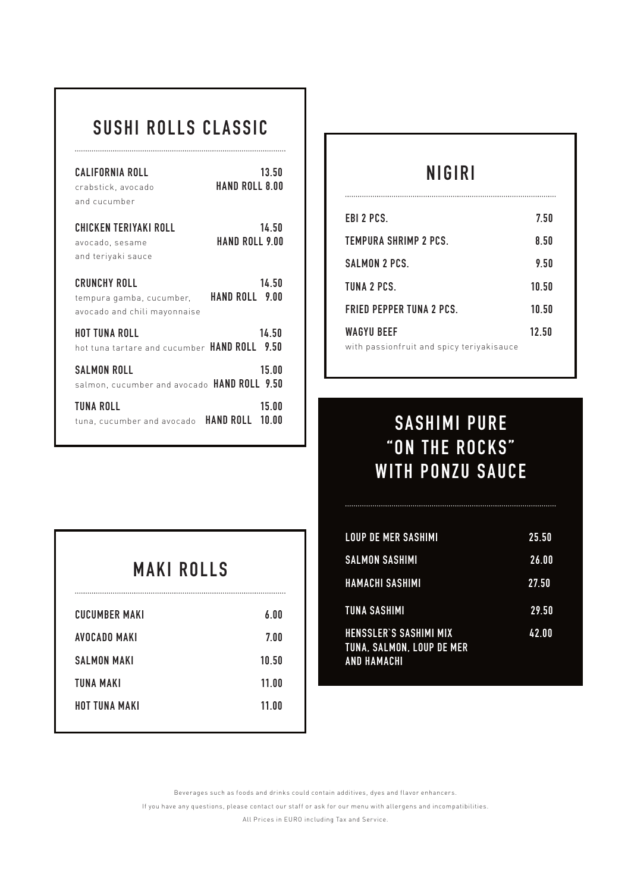# **SUSHI ROLLS CLASSIC**

| CALIFORNIA ROLL<br>crabstick, avocado<br>and cucumber                                          | 13.50<br>HAND ROLL 8.00  |
|------------------------------------------------------------------------------------------------|--------------------------|
| CHICKEN TERIYAKI ROLL<br>avocado, sesame<br>and teriyaki sauce                                 | 14.50<br>HAND ROLL 9.00  |
| <b>CRUNCHY ROLL</b><br>tempura gamba, cucumber, HAND ROLL 9.00<br>avocado and chili mayonnaise | 14.50                    |
| <b>HOT TUNA ROLL</b><br>hot tuna tartare and cucumber HAND ROLL 9.50                           | 14.50                    |
| <b>SALMON ROLL</b><br>salmon, cucumber and avocado HAND ROLL 9.50                              | 15.00                    |
| TUNA ROLL<br>tuna, cucumber and avocado                                                        | 15.00<br>HAND ROLL 10.00 |

| MAKI ROLLS           |       |
|----------------------|-------|
| <b>CUCUMBER MAKI</b> | 6.00  |
| AVOCADO MAKI         | 7.00  |
| <b>SALMON MAKI</b>   | 10.50 |
| TUNA MAKI            | 11.00 |
| HOT TUNA MAKI        | 11 NO |

## **NIGIRI**

| EBI 2 PCS.                                | 7.50  |
|-------------------------------------------|-------|
| TEMPURA SHRIMP 2 PCS.                     | 8.50  |
| SALMON 2 PCS.                             | 9.50  |
| TUNA 2 PCS.                               | 10.50 |
| <b>FRIED PEPPER TUNA 2 PCS.</b>           | 10.50 |
| <b>WAGYU BEEF</b>                         | 12.50 |
| with passionfruit and spicy teriyakisauce |       |

# **SASHIMI PURE "ON THE ROCKS" WITH PONZU SAUCE**

| <b>LOUP DE MER SASHIMI</b>                                                              | 25.50 |
|-----------------------------------------------------------------------------------------|-------|
| <b>SALMON SASHIMI</b>                                                                   | 26.00 |
| <b>HAMACHI SASHIMI</b>                                                                  | 27.50 |
| <b>TUNA SASHIMI</b>                                                                     | 29.50 |
| <b>HENSSLER'S SASHIMI MIX</b><br><b>TUNA, SALMON, LOUP DE MER</b><br><b>AND HAMACHI</b> | 42.00 |

Beverages such as foods and drinks could contain additives, dyes and flavor enhancers.

If you have any questions, please contact our staff or ask for our menu with allergens and incompatibilities.

All Prices in EURO including Tax and Service.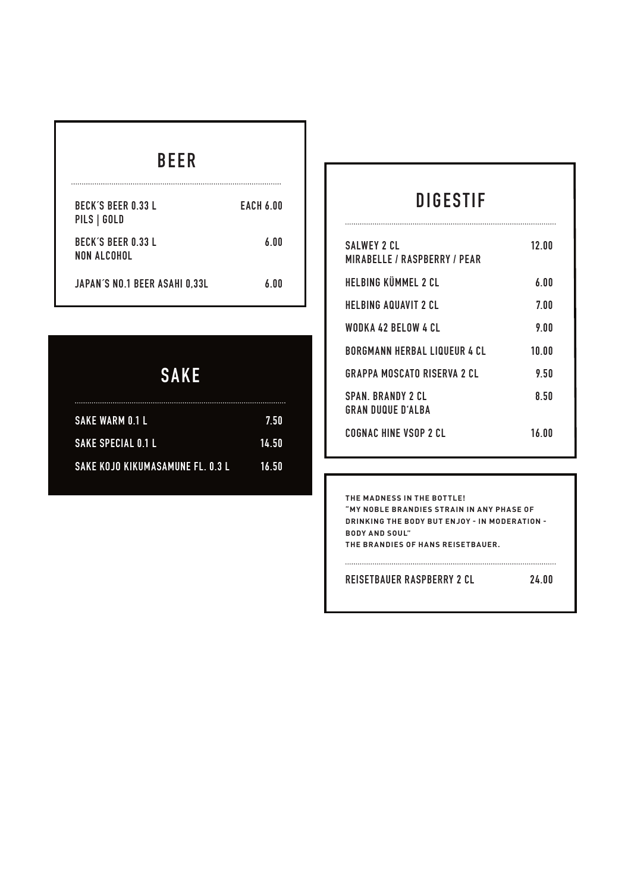| BECK'S BEER 0 33 L<br>PILS   GOLD         | EACH 6.00 |
|-------------------------------------------|-----------|
| <b>BECK'S BEER 0.33 L</b><br>NON AI COHOL | 6 NO      |
| JAPAN'S NO.1 BEER ASAHI 0,33L             | 6 NO      |

# **SAKE**

| SAKE WARM 0.1 L                        | -7.50        |
|----------------------------------------|--------------|
| <b>SAKE SPECIAL 0.1 L</b>              | <b>14.50</b> |
| SAKE KOJO KIKUMASAMUNE FL. 0.3 L 16.50 |              |

## **DIGESTIF**

...............................

| <b>SALWEY 2 CL</b><br><b>MIRABELLE / RASPBERRY / PEAR</b> | 12 NO |
|-----------------------------------------------------------|-------|
| HELBING KÜMMEL 2 CL                                       | 6.00  |
| HELBING AQUAVIT 2 CL                                      | 7.00  |
| WODKA 42 BELOW 4 CL                                       | 9.00  |
| <b>BORGMANN HERBAL LIQUEUR 4 CL</b>                       | 10.00 |
| <b>GRAPPA MOSCATO RISERVA 2 CL</b>                        | 9 5N  |
| <b>SPAN BRANDY 2 CL</b><br>GRAN DUOUF D'AI BA             | 850   |
| COGNAC HINF VSOP 2 CL                                     | 16 NO |

**THE MADNESS IN THE BOTTLE! "MY NOBLE BRANDIES STRAIN IN ANY PHASE OF DRINKING THE BODY BUT ENJOY - IN MODER ATION - BODY AND SOUL" THE BRANDIES OF HANS REISETBAUER.**

 $\begin{minipage}{0.5\textwidth} \begin{tabular}{|l|c|c|c|} \hline \multicolumn{1}{|c|}{0.9\textwidth} \begin{tabular}{|l|c|c|} \hline \multicolumn{1}{|c|}{0.9\textwidth} \begin{tabular}{|l|c|c|} \hline \multicolumn{1}{|c|}{0.9\textwidth} \begin{tabular}{|l|c|c|} \hline \multicolumn{1}{|c|}{0.9\textwidth} \begin{tabular}{|l|c|c|} \hline \multicolumn{1}{|c|}{0.9\textwidth} \begin{tabular}{|l|c|c|} \hline \multicolumn{1}{|c|}{0$ 

**REISETBAUER RASPBERRY 2 CL 24.00**